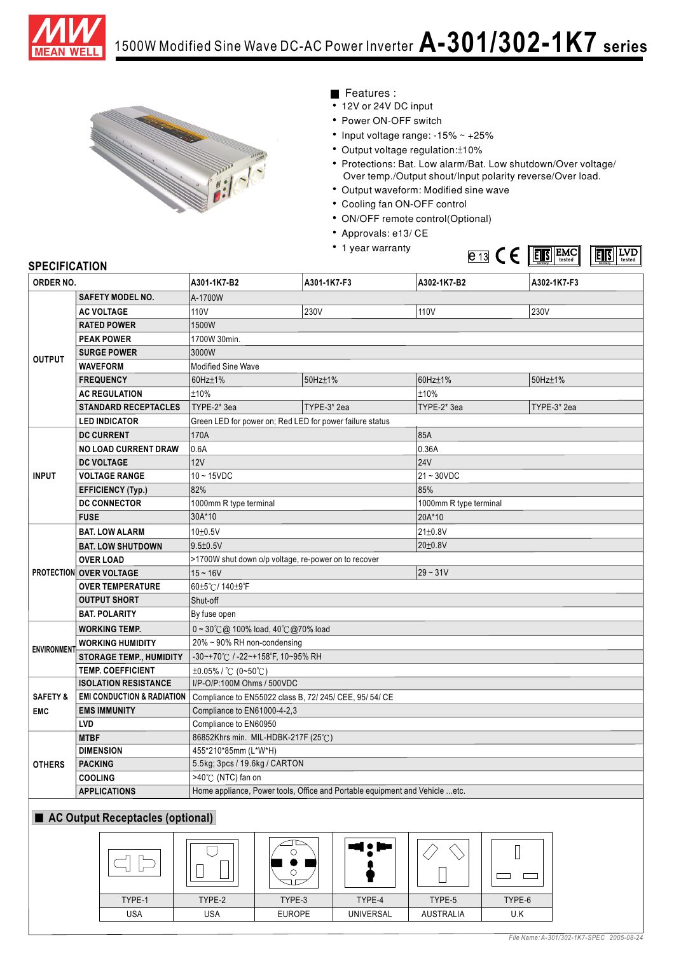



## Features :

- 12V or 24V DC input
- Power ON-OFF switch
- Input voltage range:  $-15\% \sim +25\%$
- Output voltage regulation: ±10%
- Protections: Bat. Low alarm/Bat. Low shutdown/Over voltage/ Over temp./Output shout/Input polarity reverse/Over load.
- Output waveform: Modified sine wave
- Cooling fan ON-OFF control
- ON/OFF remote control(Optional)
- Approvals: e13/ CE
- 1 year warranty



## **SPECIFICATION**

TYPE-1 USA

TYPE-2 USA

TYPE-3 **EUROPE** 

TYPE-4 UNIVERSAL

TYPE-5 AUSTRALIA

| ORDER NO.                                                        |                                       | A301-1K7-B2                                                                 | A301-1K7-F3 | A302-1K7-B2            | A302-1K7-F3 |
|------------------------------------------------------------------|---------------------------------------|-----------------------------------------------------------------------------|-------------|------------------------|-------------|
| <b>OUTPUT</b>                                                    | <b>SAFETY MODEL NO.</b>               | A-1700W                                                                     |             |                        |             |
|                                                                  | <b>AC VOLTAGE</b>                     | 110 <sub>V</sub>                                                            | 230V        | 110V                   | 230V        |
|                                                                  | <b>RATED POWER</b>                    | 1500W                                                                       |             |                        |             |
|                                                                  | <b>PEAK POWER</b>                     | 1700W 30min.                                                                |             |                        |             |
|                                                                  | <b>SURGE POWER</b>                    | 3000W                                                                       |             |                        |             |
|                                                                  | <b>WAVEFORM</b>                       | <b>Modified Sine Wave</b>                                                   |             |                        |             |
|                                                                  | <b>FREQUENCY</b>                      | 60Hz±1%                                                                     | 50Hz±1%     | 60Hz±1%                | 50Hz±1%     |
|                                                                  | <b>AC REGULATION</b>                  | ±10%                                                                        |             | ±10%                   |             |
|                                                                  | <b>STANDARD RECEPTACLES</b>           | TYPE-2* 3ea                                                                 | TYPE-3*2ea  | TYPE-2* 3ea            | TYPE-3* 2ea |
|                                                                  | <b>LED INDICATOR</b>                  | Green LED for power on; Red LED for power failure status                    |             |                        |             |
| <b>INPUT</b>                                                     | <b>DC CURRENT</b>                     | 170A                                                                        |             | 85A                    |             |
|                                                                  | NO LOAD CURRENT DRAW                  | 0.6A                                                                        |             | 0.36A                  |             |
|                                                                  | <b>DC VOLTAGE</b>                     | 12V                                                                         |             | <b>24V</b>             |             |
|                                                                  | <b>VOLTAGE RANGE</b>                  | $10 - 15VDC$                                                                |             | $21 - 30VDC$           |             |
|                                                                  | <b>EFFICIENCY (Typ.)</b>              | 82%                                                                         |             | 85%                    |             |
|                                                                  | <b>DC CONNECTOR</b>                   | 1000mm R type terminal                                                      |             | 1000mm R type terminal |             |
|                                                                  | <b>FUSE</b>                           | 30A*10                                                                      |             | 20A*10                 |             |
|                                                                  | <b>BAT. LOW ALARM</b>                 | 10±0.5V                                                                     |             | 21±0.8V                |             |
|                                                                  | <b>BAT. LOW SHUTDOWN</b>              | $9.5 + 0.5V$                                                                |             | 20±0.8V                |             |
|                                                                  | <b>OVER LOAD</b>                      | >1700W shut down o/p voltage, re-power on to recover                        |             |                        |             |
|                                                                  | <b>PROTECTION OVER VOLTAGE</b>        | $15 - 16V$                                                                  |             | $29 - 31V$             |             |
|                                                                  | <b>OVER TEMPERATURE</b>               | 60±5℃/140±9°F                                                               |             |                        |             |
|                                                                  | <b>OUTPUT SHORT</b>                   | Shut-off                                                                    |             |                        |             |
|                                                                  | BAT. POLARITY                         | By fuse open                                                                |             |                        |             |
| <b>ENVIRONMENT</b>                                               | <b>WORKING TEMP.</b>                  | $0 \sim 30^{\circ}$ ( $\omega$ 100% load, 40 $\degree$ ( $\omega$ 70% load  |             |                        |             |
|                                                                  | <b>WORKING HUMIDITY</b>               | 20% ~ 90% RH non-condensing                                                 |             |                        |             |
|                                                                  | <b>STORAGE TEMP., HUMIDITY</b>        | -30~+70°C / -22~+158°F, 10~95% RH                                           |             |                        |             |
|                                                                  | <b>TEMP. COEFFICIENT</b>              | ±0.05% / °C (0~50°C)                                                        |             |                        |             |
| <b>ISOLATION RESISTANCE</b>                                      |                                       | I/P-O/P:100M Ohms / 500VDC                                                  |             |                        |             |
| <b>SAFETY &amp;</b>                                              | <b>EMI CONDUCTION &amp; RADIATION</b> | Compliance to EN55022 class B, 72/ 245/ CEE, 95/ 54/ CE                     |             |                        |             |
| <b>EMS IMMUNITY</b><br>Compliance to EN61000-4-2,3<br><b>EMC</b> |                                       |                                                                             |             |                        |             |
|                                                                  | LVD                                   | Compliance to EN60950                                                       |             |                        |             |
| <b>OTHERS</b>                                                    | <b>MTBF</b>                           | 86852Khrs min. MIL-HDBK-217F (25°C)                                         |             |                        |             |
|                                                                  | <b>DIMENSION</b>                      | 455*210*85mm (L*W*H)                                                        |             |                        |             |
|                                                                  | <b>PACKING</b>                        | 5.5kg; 3pcs / 19.6kg / CARTON                                               |             |                        |             |
|                                                                  | <b>COOLING</b>                        | >40℃ (NTC) fan on                                                           |             |                        |             |
|                                                                  | <b>APPLICATIONS</b>                   | Home appliance, Power tools, Office and Portable equipment and Vehicle etc. |             |                        |             |
| AC Output Receptacles (optional)                                 |                                       |                                                                             |             |                        |             |
|                                                                  |                                       | O<br>O                                                                      |             |                        |             |

TYPE-6 U.K